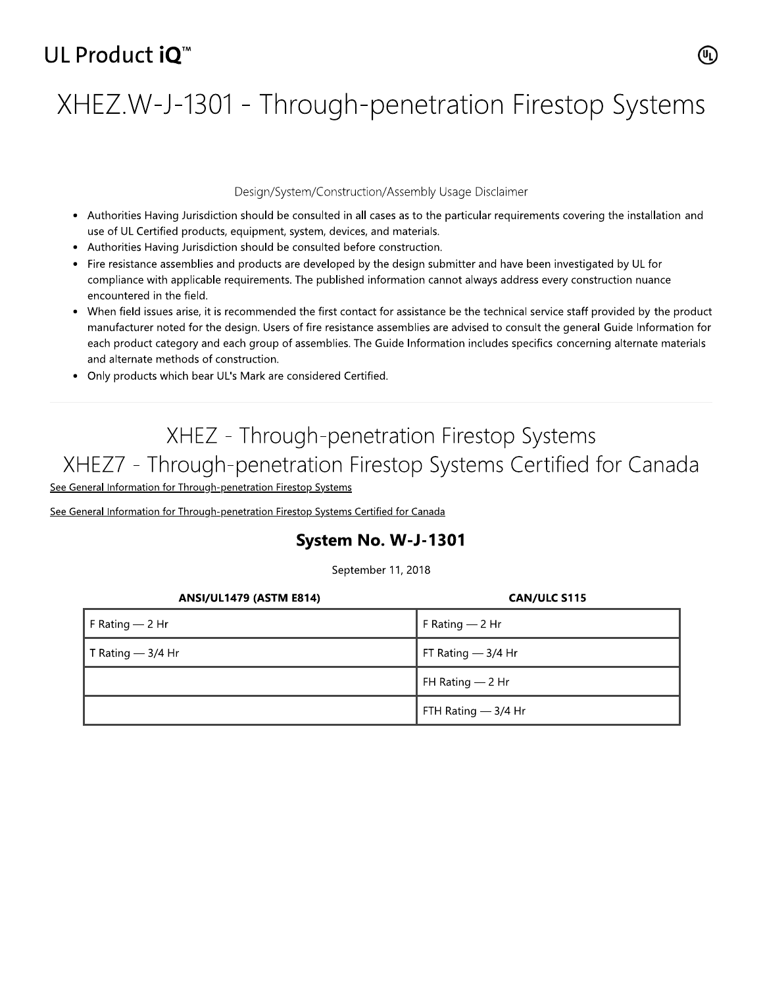# UL Product iO<sup>™</sup>

# XHEZ.W-J-1301 - Through-penetration Firestop Systems

#### Design/System/Construction/Assembly Usage Disclaimer

- Authorities Having Jurisdiction should be consulted in all cases as to the particular requirements covering the installation and use of UL Certified products, equipment, system, devices, and materials.
- Authorities Having Jurisdiction should be consulted before construction.
- Fire resistance assemblies and products are developed by the design submitter and have been investigated by UL for compliance with applicable requirements. The published information cannot always address every construction nuance encountered in the field.
- When field issues arise, it is recommended the first contact for assistance be the technical service staff provided by the product manufacturer noted for the design. Users of fire resistance assemblies are advised to consult the general Guide Information for each product category and each group of assemblies. The Guide Information includes specifics concerning alternate materials and alternate methods of construction.
- Only products which bear UL's Mark are considered Certified.

## XHEZ - Through-penetration Firestop Systems XHEZ7 - Through-penetration Firestop Systems Certified for Canada

See General Information for Through-penetration Firestop Systems

See General Information for Through-penetration Firestop Systems Certified for Canada

### System No. W-J-1301

September 11, 2018

| <b>ANSI/UL1479 (ASTM E814)</b> | <b>CAN/ULC S115</b>  |
|--------------------------------|----------------------|
| F Rating $-$ 2 Hr              | F Rating $-2$ Hr     |
| T Rating $-$ 3/4 Hr            | FT Rating $-$ 3/4 Hr |
|                                | FH Rating $-2$ Hr    |
|                                | FTH Rating $-3/4$ Hr |

 $(\!\mathbb{q}\!)$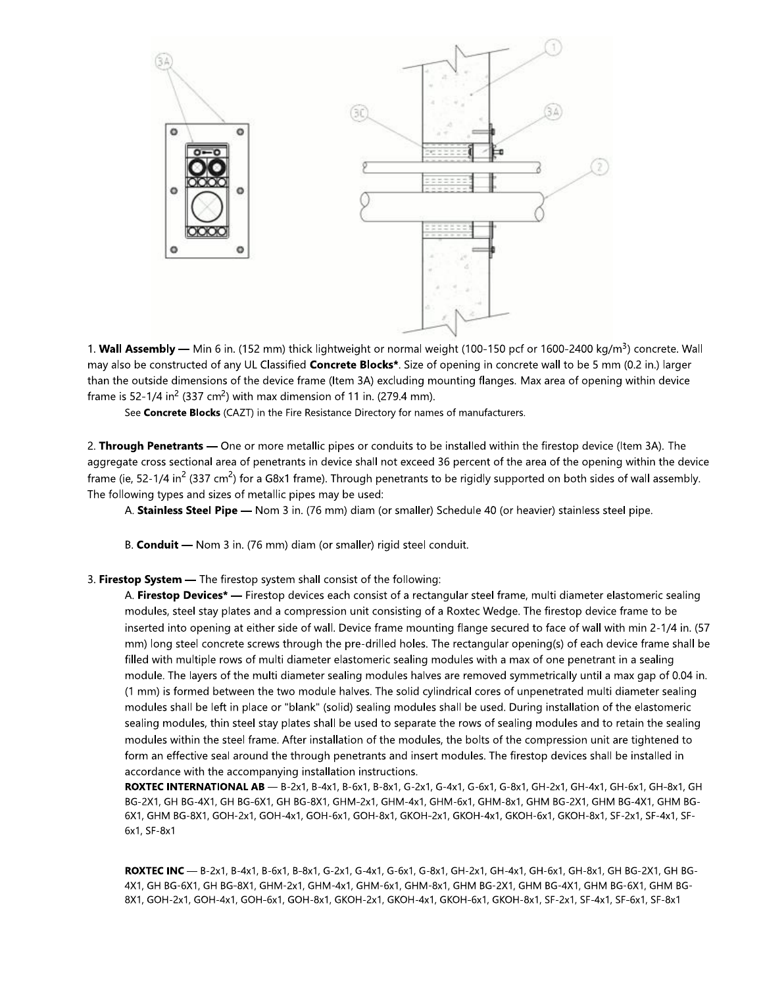

1. Wall Assembly — Min 6 in. (152 mm) thick lightweight or normal weight (100-150 pcf or 1600-2400 kg/m<sup>3</sup>) concrete. Wall may also be constructed of any UL Classified Concrete Blocks\*. Size of opening in concrete wall to be 5 mm (0.2 in.) larger than the outside dimensions of the device frame (Item 3A) excluding mounting flanges. Max area of opening within device frame is 52-1/4 in<sup>2</sup> (337 cm<sup>2</sup>) with max dimension of 11 in. (279.4 mm).

See Concrete Blocks (CAZT) in the Fire Resistance Directory for names of manufacturers.

2. Through Penetrants — One or more metallic pipes or conduits to be installed within the firestop device (Item 3A). The aggregate cross sectional area of penetrants in device shall not exceed 36 percent of the area of the opening within the device frame (ie, 52-1/4 in<sup>2</sup> (337 cm<sup>2</sup>) for a G8x1 frame). Through penetrants to be rigidly supported on both sides of wall assembly. The following types and sizes of metallic pipes may be used:

A. Stainless Steel Pipe - Nom 3 in. (76 mm) diam (or smaller) Schedule 40 (or heavier) stainless steel pipe.

B. Conduit - Nom 3 in. (76 mm) diam (or smaller) rigid steel conduit.

#### 3. Firestop System - The firestop system shall consist of the following:

A. Firestop Devices\* — Firestop devices each consist of a rectangular steel frame, multi diameter elastomeric sealing modules, steel stay plates and a compression unit consisting of a Roxtec Wedge. The firestop device frame to be inserted into opening at either side of wall. Device frame mounting flange secured to face of wall with min 2-1/4 in. (57 mm) long steel concrete screws through the pre-drilled holes. The rectangular opening(s) of each device frame shall be filled with multiple rows of multi diameter elastomeric sealing modules with a max of one penetrant in a sealing module. The layers of the multi diameter sealing modules halves are removed symmetrically until a max gap of 0.04 in. (1 mm) is formed between the two module halves. The solid cylindrical cores of unpenetrated multi diameter sealing modules shall be left in place or "blank" (solid) sealing modules shall be used. During installation of the elastomeric sealing modules, thin steel stay plates shall be used to separate the rows of sealing modules and to retain the sealing modules within the steel frame. After installation of the modules, the bolts of the compression unit are tightened to form an effective seal around the through penetrants and insert modules. The firestop devices shall be installed in accordance with the accompanying installation instructions.

ROXTEC INTERNATIONAL AB - B-2x1, B-4x1, B-6x1, B-8x1, G-2x1, G-4x1, G-6x1, G-8x1, GH-2x1, GH-4x1, GH-6x1, GH-8x1, GH BG-2X1, GH BG-4X1, GH BG-6X1, GH BG-8X1, GHM-2x1, GHM-4x1, GHM-6x1, GHM-8x1, GHM BG-2X1, GHM BG-4X1, GHM BG-6X1, GHM BG-8X1, GOH-2x1, GOH-4x1, GOH-6x1, GOH-8x1, GKOH-2x1, GKOH-4x1, GKOH-6x1, GKOH-8x1, SF-2x1, SF-4x1, SF-6x1, SF-8x1

ROXTEC INC - B-2x1, B-4x1, B-6x1, B-8x1, G-2x1, G-4x1, G-6x1, G-8x1, GH-2x1, GH-4x1, GH-6x1, GH-8x1, GH BG-2X1, GH BG-4X1, GH BG-6X1, GH BG-8X1, GHM-2x1, GHM-4x1, GHM-6x1, GHM-8x1, GHM BG-2X1, GHM BG-4X1, GHM BG-6X1, GHM BG-8X1, GOH-2x1, GOH-4x1, GOH-6x1, GOH-8x1, GKOH-2x1, GKOH-4x1, GKOH-6x1, GKOH-8x1, SF-2x1, SF-4x1, SF-6x1, SF-8x1